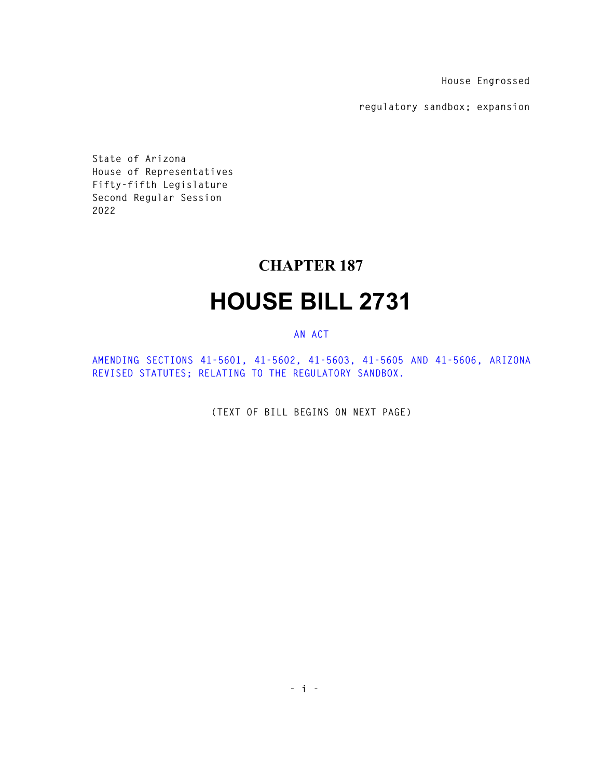**House Engrossed** 

**regulatory sandbox; expansion** 

**State of Arizona House of Representatives Fifty-fifth Legislature Second Regular Session 2022** 

## **CHAPTER 187**

## **HOUSE BILL 2731**

## **AN ACT**

**AMENDING SECTIONS 41-5601, 41-5602, 41-5603, 41-5605 AND 41-5606, ARIZONA REVISED STATUTES; RELATING TO THE REGULATORY SANDBOX.** 

**(TEXT OF BILL BEGINS ON NEXT PAGE)**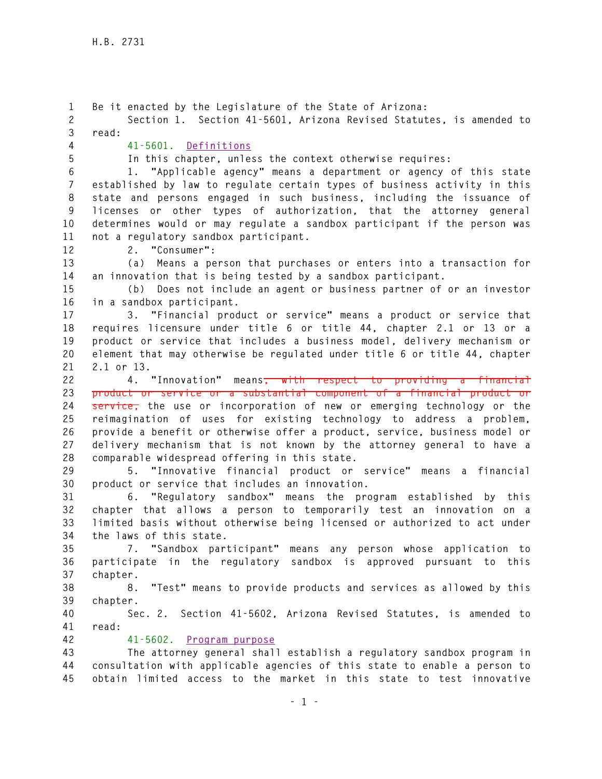**1 Be it enacted by the Legislature of the State of Arizona: 2 Section 1. Section 41-5601, Arizona Revised Statutes, is amended to 3 read: 4 41-5601. Definitions 5 In this chapter, unless the context otherwise requires: 6 1. "Applicable agency" means a department or agency of this state 7 established by law to regulate certain types of business activity in this 8 state and persons engaged in such business, including the issuance of 9 licenses or other types of authorization, that the attorney general 10 determines would or may regulate a sandbox participant if the person was 11 not a regulatory sandbox participant. 12 2. "Consumer": 13 (a) Means a person that purchases or enters into a transaction for 14 an innovation that is being tested by a sandbox participant. 15 (b) Does not include an agent or business partner of or an investor 16 in a sandbox participant. 17 3. "Financial product or service" means a product or service that 18 requires licensure under title 6 or title 44, chapter 2.1 or 13 or a 19 product or service that includes a business model, delivery mechanism or 20 element that may otherwise be regulated under title 6 or title 44, chapter 21 2.1 or 13. 22 4. "Innovation" means, with respect to providing a financial 23 product or service or a substantial component of a financial product or 24 service, the use or incorporation of new or emerging technology or the 25 reimagination of uses for existing technology to address a problem, 26 provide a benefit or otherwise offer a product, service, business model or 27 delivery mechanism that is not known by the attorney general to have a 28 comparable widespread offering in this state. 29 5. "Innovative financial product or service" means a financial 30 product or service that includes an innovation. 31 6. "Regulatory sandbox" means the program established by this 32 chapter that allows a person to temporarily test an innovation on a 33 limited basis without otherwise being licensed or authorized to act under 34 the laws of this state. 35 7. "Sandbox participant" means any person whose application to 36 participate in the regulatory sandbox is approved pursuant to this 37 chapter. 38 8. "Test" means to provide products and services as allowed by this 39 chapter. 40 Sec. 2. Section 41-5602, Arizona Revised Statutes, is amended to 41 read: 42 41-5602. Program purpose 43 The attorney general shall establish a regulatory sandbox program in 44 consultation with applicable agencies of this state to enable a person to 45 obtain limited access to the market in this state to test innovative**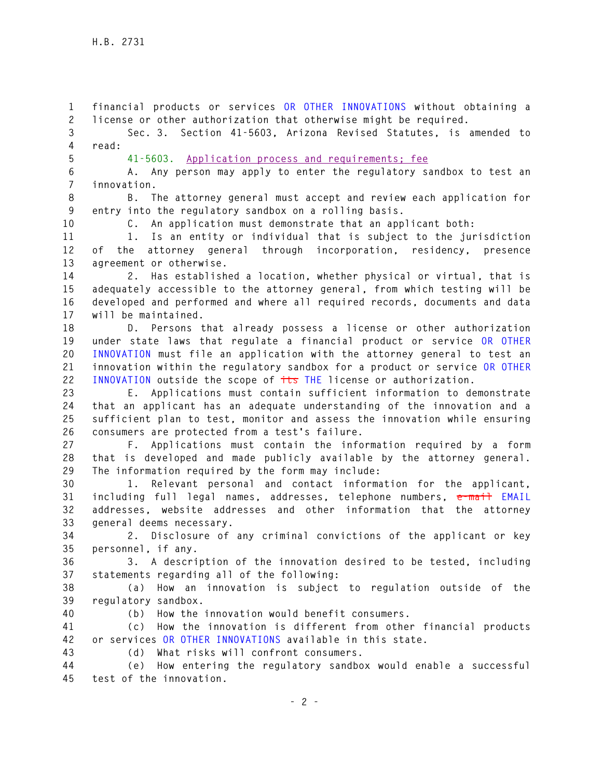**1 financial products or services OR OTHER INNOVATIONS without obtaining a 2 license or other authorization that otherwise might be required.** 

**3 Sec. 3. Section 41-5603, Arizona Revised Statutes, is amended to 4 read:** 

**5 41-5603. Application process and requirements; fee**

**6 A. Any person may apply to enter the regulatory sandbox to test an 7 innovation.** 

**8 B. The attorney general must accept and review each application for 9 entry into the regulatory sandbox on a rolling basis.** 

**10 C. An application must demonstrate that an applicant both:** 

**11 1. Is an entity or individual that is subject to the jurisdiction 12 of the attorney general through incorporation, residency, presence 13 agreement or otherwise.** 

**14 2. Has established a location, whether physical or virtual, that is 15 adequately accessible to the attorney general, from which testing will be 16 developed and performed and where all required records, documents and data 17 will be maintained.** 

**18 D. Persons that already possess a license or other authorization 19 under state laws that regulate a financial product or service OR OTHER 20 INNOVATION must file an application with the attorney general to test an 21 innovation within the regulatory sandbox for a product or service OR OTHER 22 INNOVATION outside the scope of its THE license or authorization.** 

**23 E. Applications must contain sufficient information to demonstrate 24 that an applicant has an adequate understanding of the innovation and a 25 sufficient plan to test, monitor and assess the innovation while ensuring 26 consumers are protected from a test's failure.** 

**27 F. Applications must contain the information required by a form 28 that is developed and made publicly available by the attorney general. 29 The information required by the form may include:** 

**30 1. Relevant personal and contact information for the applicant, 31 including full legal names, addresses, telephone numbers, e-mail EMAIL 32 addresses, website addresses and other information that the attorney 33 general deems necessary.** 

**34 2. Disclosure of any criminal convictions of the applicant or key 35 personnel, if any.** 

**36 3. A description of the innovation desired to be tested, including 37 statements regarding all of the following:** 

**38 (a) How an innovation is subject to regulation outside of the 39 regulatory sandbox.** 

**40 (b) How the innovation would benefit consumers.** 

**41 (c) How the innovation is different from other financial products 42 or services OR OTHER INNOVATIONS available in this state.** 

**43 (d) What risks will confront consumers.** 

**44 (e) How entering the regulatory sandbox would enable a successful 45 test of the innovation.**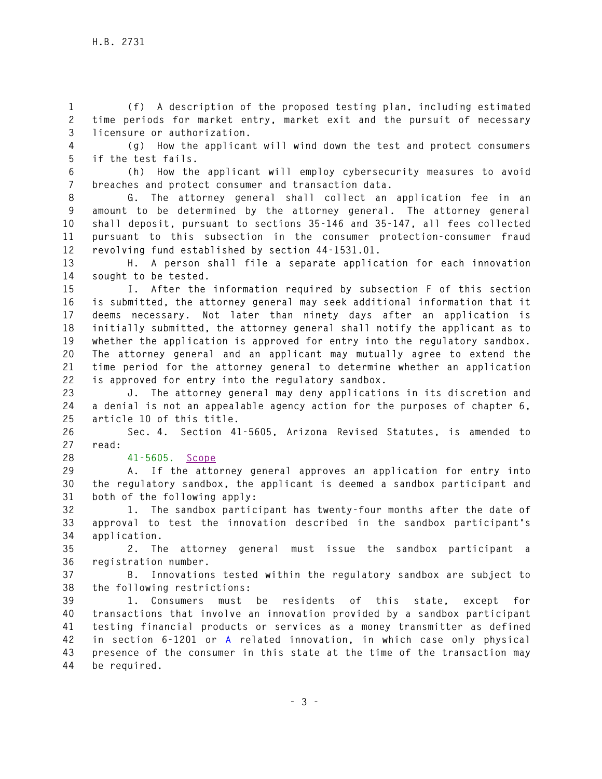**1 (f) A description of the proposed testing plan, including estimated 2 time periods for market entry, market exit and the pursuit of necessary 3 licensure or authorization.** 

**4 (g) How the applicant will wind down the test and protect consumers 5 if the test fails.** 

**6 (h) How the applicant will employ cybersecurity measures to avoid 7 breaches and protect consumer and transaction data.** 

**8 G. The attorney general shall collect an application fee in an 9 amount to be determined by the attorney general. The attorney general 10 shall deposit, pursuant to sections 35-146 and 35-147, all fees collected 11 pursuant to this subsection in the consumer protection-consumer fraud 12 revolving fund established by section 44-1531.01.** 

**13 H. A person shall file a separate application for each innovation 14 sought to be tested.** 

**15 I. After the information required by subsection F of this section 16 is submitted, the attorney general may seek additional information that it 17 deems necessary. Not later than ninety days after an application is 18 initially submitted, the attorney general shall notify the applicant as to 19 whether the application is approved for entry into the regulatory sandbox. 20 The attorney general and an applicant may mutually agree to extend the 21 time period for the attorney general to determine whether an application 22 is approved for entry into the regulatory sandbox.** 

**23 J. The attorney general may deny applications in its discretion and 24 a denial is not an appealable agency action for the purposes of chapter 6, 25 article 10 of this title.** 

**26 Sec. 4. Section 41-5605, Arizona Revised Statutes, is amended to 27 read:** 

**28 41-5605. Scope**

**29 A. If the attorney general approves an application for entry into 30 the regulatory sandbox, the applicant is deemed a sandbox participant and 31 both of the following apply:** 

**32 1. The sandbox participant has twenty-four months after the date of 33 approval to test the innovation described in the sandbox participant's 34 application.** 

**35 2. The attorney general must issue the sandbox participant a 36 registration number.** 

**37 B. Innovations tested within the regulatory sandbox are subject to 38 the following restrictions:** 

**39 1. Consumers must be residents of this state, except for 40 transactions that involve an innovation provided by a sandbox participant 41 testing financial products or services as a money transmitter as defined 42 in section 6-1201 or A related innovation, in which case only physical 43 presence of the consumer in this state at the time of the transaction may 44 be required.**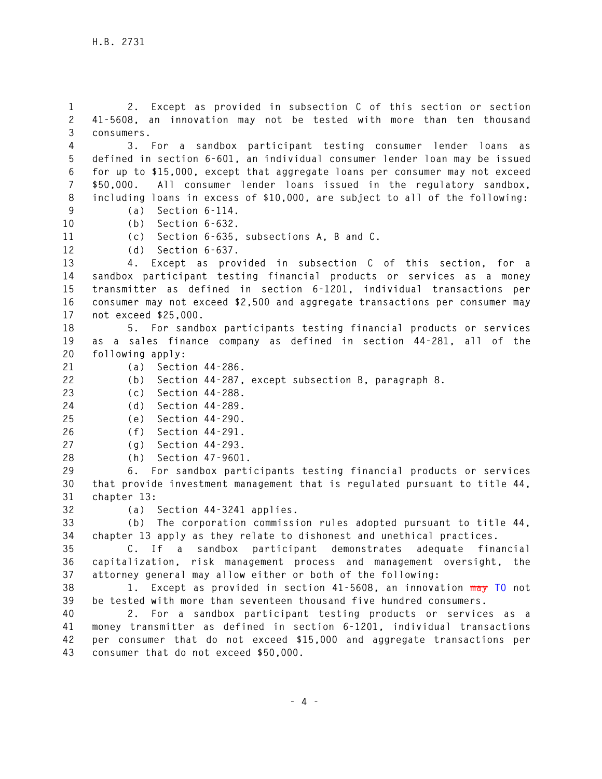**1 2. Except as provided in subsection C of this section or section 2 41-5608, an innovation may not be tested with more than ten thousand 3 consumers.** 

**4 3. For a sandbox participant testing consumer lender loans as 5 defined in section 6-601, an individual consumer lender loan may be issued 6 for up to \$15,000, except that aggregate loans per consumer may not exceed 7 \$50,000. All consumer lender loans issued in the regulatory sandbox, 8 including loans in excess of \$10,000, are subject to all of the following:** 

**9 (a) Section 6-114. 10 (b) Section 6-632.** 

**11 (c) Section 6-635, subsections A, B and C.** 

**12 (d) Section 6-637.** 

**13 4. Except as provided in subsection C of this section, for a 14 sandbox participant testing financial products or services as a money 15 transmitter as defined in section 6-1201, individual transactions per 16 consumer may not exceed \$2,500 and aggregate transactions per consumer may 17 not exceed \$25,000.** 

**18 5. For sandbox participants testing financial products or services 19 as a sales finance company as defined in section 44-281, all of the 20 following apply:** 

- **21 (a) Section 44-286.**
- **22 (b) Section 44-287, except subsection B, paragraph 8.**
- **23 (c) Section 44-288.**
- **24 (d) Section 44-289.**

**25 (e) Section 44-290.** 

- **26 (f) Section 44-291.**
- **27 (g) Section 44-293.**
- **28 (h) Section 47-9601.**

**29 6. For sandbox participants testing financial products or services 30 that provide investment management that is regulated pursuant to title 44, 31 chapter 13:** 

**32 (a) Section 44-3241 applies.** 

**33 (b) The corporation commission rules adopted pursuant to title 44, 34 chapter 13 apply as they relate to dishonest and unethical practices.** 

**35 C. If a sandbox participant demonstrates adequate financial 36 capitalization, risk management process and management oversight, the 37 attorney general may allow either or both of the following:** 

**38 1. Except as provided in section 41-5608, an innovation may TO not 39 be tested with more than seventeen thousand five hundred consumers.** 

**40 2. For a sandbox participant testing products or services as a 41 money transmitter as defined in section 6-1201, individual transactions 42 per consumer that do not exceed \$15,000 and aggregate transactions per 43 consumer that do not exceed \$50,000.**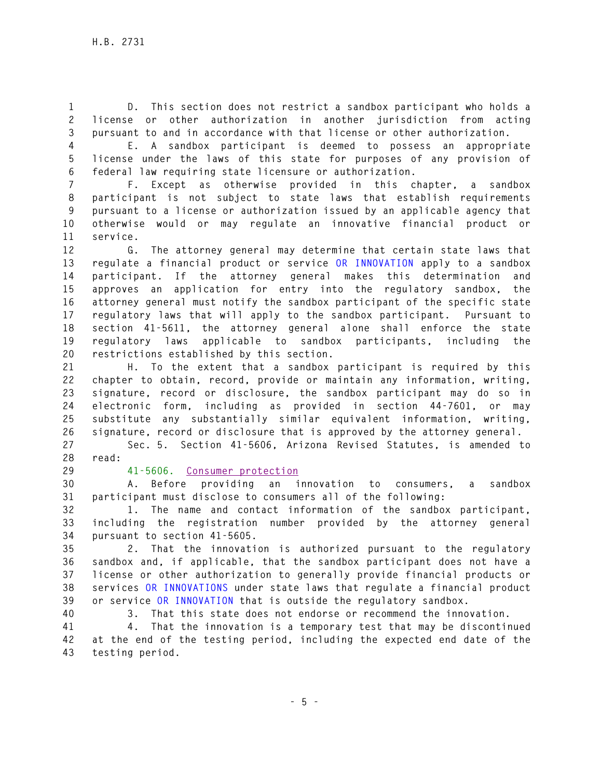**1 D. This section does not restrict a sandbox participant who holds a 2 license or other authorization in another jurisdiction from acting 3 pursuant to and in accordance with that license or other authorization.** 

**4 E. A sandbox participant is deemed to possess an appropriate 5 license under the laws of this state for purposes of any provision of 6 federal law requiring state licensure or authorization.** 

**7 F. Except as otherwise provided in this chapter, a sandbox 8 participant is not subject to state laws that establish requirements 9 pursuant to a license or authorization issued by an applicable agency that 10 otherwise would or may regulate an innovative financial product or 11 service.** 

**12 G. The attorney general may determine that certain state laws that 13 regulate a financial product or service OR INNOVATION apply to a sandbox 14 participant. If the attorney general makes this determination and 15 approves an application for entry into the regulatory sandbox, the 16 attorney general must notify the sandbox participant of the specific state 17 regulatory laws that will apply to the sandbox participant. Pursuant to 18 section 41-5611, the attorney general alone shall enforce the state 19 regulatory laws applicable to sandbox participants, including the 20 restrictions established by this section.** 

**21 H. To the extent that a sandbox participant is required by this 22 chapter to obtain, record, provide or maintain any information, writing, 23 signature, record or disclosure, the sandbox participant may do so in 24 electronic form, including as provided in section 44-7601, or may 25 substitute any substantially similar equivalent information, writing, 26 signature, record or disclosure that is approved by the attorney general.** 

**27 Sec. 5. Section 41-5606, Arizona Revised Statutes, is amended to 28 read:** 

## **29 41-5606. Consumer protection**

**30 A. Before providing an innovation to consumers, a sandbox 31 participant must disclose to consumers all of the following:** 

**32 1. The name and contact information of the sandbox participant, 33 including the registration number provided by the attorney general 34 pursuant to section 41-5605.** 

**35 2. That the innovation is authorized pursuant to the regulatory 36 sandbox and, if applicable, that the sandbox participant does not have a 37 license or other authorization to generally provide financial products or 38 services OR INNOVATIONS under state laws that regulate a financial product 39 or service OR INNOVATION that is outside the regulatory sandbox.** 

**40 3. That this state does not endorse or recommend the innovation.** 

**41 4. That the innovation is a temporary test that may be discontinued 42 at the end of the testing period, including the expected end date of the 43 testing period.**